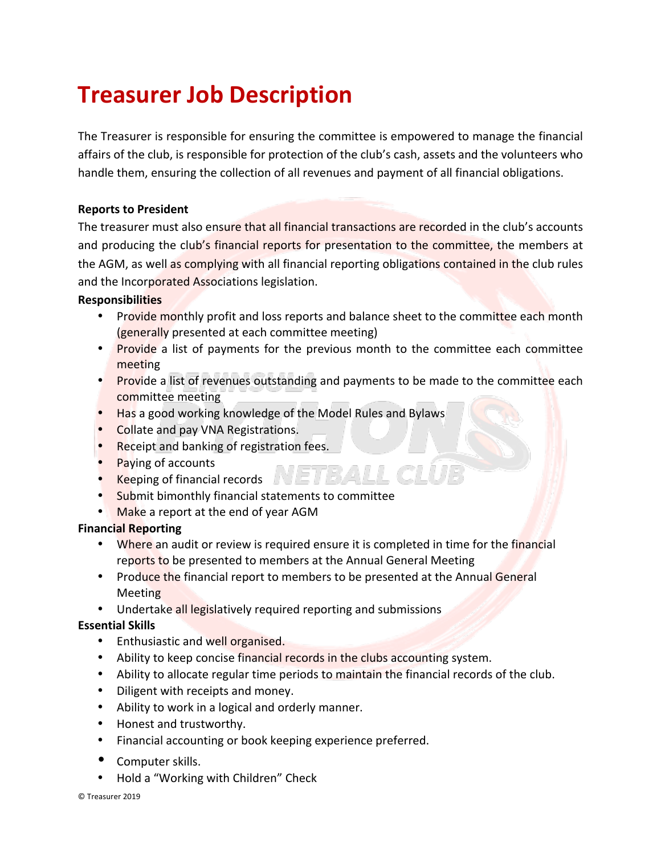# **Treasurer Job Description**

The Treasurer is responsible for ensuring the committee is empowered to manage the financial affairs of the club, is responsible for protection of the club's cash, assets and the volunteers who handle them, ensuring the collection of all revenues and payment of all financial obligations.

## **Reports to President**

The treasurer must also ensure that all financial transactions are recorded in the club's accounts and producing the club's financial reports for presentation to the committee, the members at the AGM, as well as complying with all financial reporting obligations contained in the club rules and the Incorporated Associations legislation.

## **Responsibilities**

- Provide monthly profit and loss reports and balance sheet to the committee each month (generally presented at each committee meeting)
- Provide a list of payments for the previous month to the committee each committee meeting
- Provide a list of revenues outstanding and payments to be made to the committee each committee meeting
- Has a good working knowledge of the Model Rules and Bylaws
- Collate and pay VNA Registrations.
- Receipt and banking of registration fees.
- Paying of accounts
- Keeping of financial records  $\blacksquare$
- Submit bimonthly financial statements to committee
- Make a report at the end of year AGM

## **Financial Reporting**

- Where an audit or review is required ensure it is completed in time for the financial reports to be presented to members at the Annual General Meeting
- Produce the financial report to members to be presented at the Annual General Meeting
- Undertake all legislatively required reporting and submissions

## **Essential Skills**

- Enthusiastic and well organised.
- Ability to keep concise financial records in the clubs accounting system.
- Ability to allocate regular time periods to maintain the financial records of the club.
- Diligent with receipts and money.
- Ability to work in a logical and orderly manner.
- Honest and trustworthy.
- Financial accounting or book keeping experience preferred.
- Computer skills.
- Hold a "Working with Children" Check